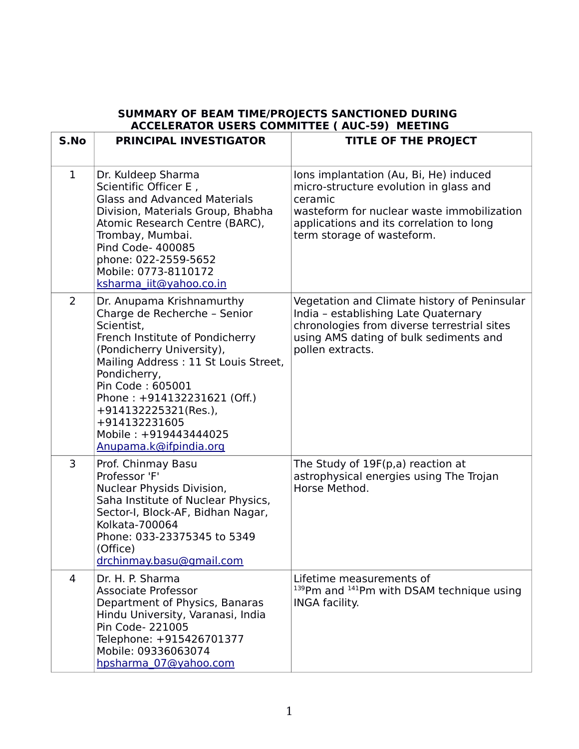|                | JOMMANI OI DEAM TIME/FROJECTJ JANCHONED I<br><b>ACCELERATOR USERS COMMITTEE ( AUC-59) MEETING</b>                                                                                                                                                                                                                                              |                                                                                                                                                                                                                     |  |
|----------------|------------------------------------------------------------------------------------------------------------------------------------------------------------------------------------------------------------------------------------------------------------------------------------------------------------------------------------------------|---------------------------------------------------------------------------------------------------------------------------------------------------------------------------------------------------------------------|--|
| S.No           | <b>PRINCIPAL INVESTIGATOR</b>                                                                                                                                                                                                                                                                                                                  | <b>TITLE OF THE PROJECT</b>                                                                                                                                                                                         |  |
| $\mathbf{1}$   | Dr. Kuldeep Sharma<br>Scientific Officer E,<br><b>Glass and Advanced Materials</b><br>Division, Materials Group, Bhabha<br>Atomic Research Centre (BARC),<br>Trombay, Mumbai.<br>Pind Code- 400085<br>phone: 022-2559-5652<br>Mobile: 0773-8110172<br>ksharma iit@yahoo.co.in                                                                  | Ions implantation (Au, Bi, He) induced<br>micro-structure evolution in glass and<br>ceramic<br>wasteform for nuclear waste immobilization<br>applications and its correlation to long<br>term storage of wasteform. |  |
| $\overline{2}$ | Dr. Anupama Krishnamurthy<br>Charge de Recherche - Senior<br>Scientist,<br>French Institute of Pondicherry<br>(Pondicherry University),<br>Mailing Address: 11 St Louis Street,<br>Pondicherry,<br>Pin Code: 605001<br>Phone: +914132231621 (Off.)<br>+914132225321(Res.),<br>+914132231605<br>Mobile: +919443444025<br>Anupama.k@ifpindia.org | Vegetation and Climate history of Peninsular<br>India - establishing Late Quaternary<br>chronologies from diverse terrestrial sites<br>using AMS dating of bulk sediments and<br>pollen extracts.                   |  |
| 3              | Prof. Chinmay Basu<br>Professor 'F'<br>Nuclear Physids Division,<br>Saha Institute of Nuclear Physics,<br>Sector-I, Block-AF, Bidhan Nagar,<br>Kolkata-700064<br>Phone: 033-23375345 to 5349<br>(Office)<br>drchinmay.basu@gmail.com                                                                                                           | The Study of 19F(p,a) reaction at<br>astrophysical energies using The Trojan<br>Horse Method.                                                                                                                       |  |
| 4              | Dr. H. P. Sharma<br><b>Associate Professor</b><br>Department of Physics, Banaras<br>Hindu University, Varanasi, India<br>Pin Code- 221005<br>Telephone: +915426701377<br>Mobile: 09336063074<br>hpsharma 07@yahoo.com                                                                                                                          | Lifetime measurements of<br>$139$ Pm and $141$ Pm with DSAM technique using<br><b>INGA facility.</b>                                                                                                                |  |

## **SUMMARY OF BEAM TIME/PROJECTS SANCTIONED DURING**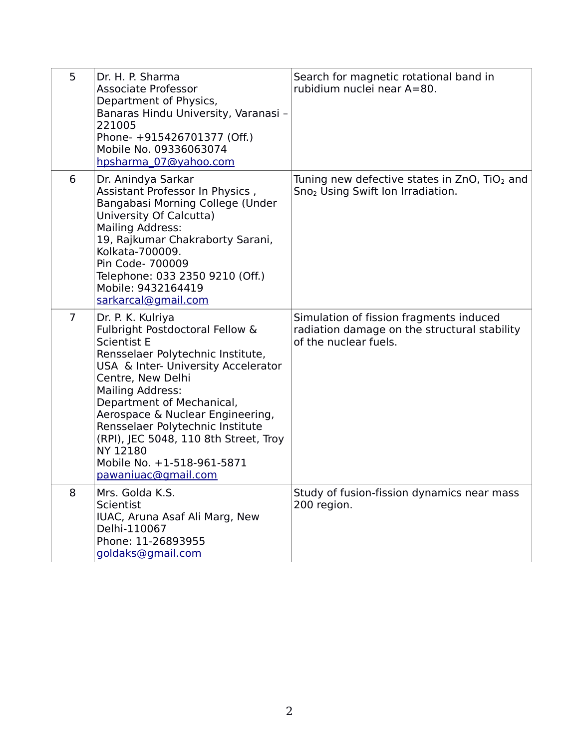| 5              | Dr. H. P. Sharma<br><b>Associate Professor</b><br>Department of Physics,<br>Banaras Hindu University, Varanasi -<br>221005<br>Phone- +915426701377 (Off.)<br>Mobile No. 09336063074<br>hpsharma 07@yahoo.com                                                                                                                                                                                                          | Search for magnetic rotational band in<br>rubidium nuclei near A=80.                                             |
|----------------|-----------------------------------------------------------------------------------------------------------------------------------------------------------------------------------------------------------------------------------------------------------------------------------------------------------------------------------------------------------------------------------------------------------------------|------------------------------------------------------------------------------------------------------------------|
| 6              | Dr. Anindya Sarkar<br>Assistant Professor In Physics,<br>Bangabasi Morning College (Under<br>University Of Calcutta)<br>Mailing Address:<br>19, Rajkumar Chakraborty Sarani,<br>Kolkata-700009.<br>Pin Code- 700009<br>Telephone: 033 2350 9210 (Off.)<br>Mobile: 9432164419<br>sarkarcal@gmail.com                                                                                                                   | Tuning new defective states in $ZnO$ , TiO <sub>2</sub> and<br>Sno <sub>2</sub> Using Swift Ion Irradiation.     |
| $\overline{7}$ | Dr. P. K. Kulriya<br>Fulbright Postdoctoral Fellow &<br><b>Scientist E</b><br>Rensselaer Polytechnic Institute,<br>USA & Inter- University Accelerator<br>Centre, New Delhi<br><b>Mailing Address:</b><br>Department of Mechanical,<br>Aerospace & Nuclear Engineering,<br>Rensselaer Polytechnic Institute<br>(RPI), JEC 5048, 110 8th Street, Troy<br>NY 12180<br>Mobile No. +1-518-961-5871<br>pawaniuac@gmail.com | Simulation of fission fragments induced<br>radiation damage on the structural stability<br>of the nuclear fuels. |
| 8              | Mrs. Golda K.S.<br>Scientist<br>IUAC, Aruna Asaf Ali Marg, New<br>Delhi-110067<br>Phone: 11-26893955<br>goldaks@gmail.com                                                                                                                                                                                                                                                                                             | Study of fusion-fission dynamics near mass<br>200 region.                                                        |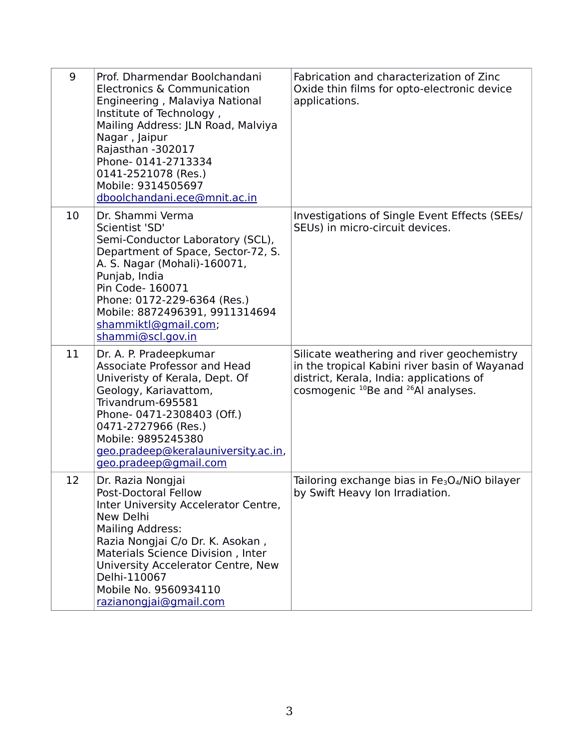| 9  | Prof. Dharmendar Boolchandani<br>Electronics & Communication<br>Engineering, Malaviya National<br>Institute of Technology,<br>Mailing Address: JLN Road, Malviya<br>Nagar, Jaipur<br>Rajasthan -302017<br>Phone- 0141-2713334<br>0141-2521078 (Res.)<br>Mobile: 9314505697<br>dboolchandani.ece@mnit.ac.in | Fabrication and characterization of Zinc<br>Oxide thin films for opto-electronic device<br>applications.                                                                                              |
|----|------------------------------------------------------------------------------------------------------------------------------------------------------------------------------------------------------------------------------------------------------------------------------------------------------------|-------------------------------------------------------------------------------------------------------------------------------------------------------------------------------------------------------|
| 10 | Dr. Shammi Verma<br>Scientist 'SD'<br>Semi-Conductor Laboratory (SCL),<br>Department of Space, Sector-72, S.<br>A. S. Nagar (Mohali)-160071,<br>Punjab, India<br>Pin Code- 160071<br>Phone: 0172-229-6364 (Res.)<br>Mobile: 8872496391, 9911314694<br>shammiktl@gmail.com;<br>shammi@scl.gov.in            | Investigations of Single Event Effects (SEEs/<br>SEUs) in micro-circuit devices.                                                                                                                      |
| 11 | Dr. A. P. Pradeepkumar<br><b>Associate Professor and Head</b><br>Univeristy of Kerala, Dept. Of<br>Geology, Kariavattom,<br>Trivandrum-695581<br>Phone-0471-2308403 (Off.)<br>0471-2727966 (Res.)<br>Mobile: 9895245380<br>geo.pradeep@keralauniversity.ac.in,<br>geo.pradeep@gmail.com                    | Silicate weathering and river geochemistry<br>in the tropical Kabini river basin of Wayanad<br>district, Kerala, India: applications of<br>cosmogenic <sup>10</sup> Be and <sup>26</sup> Al analyses. |
| 12 | Dr. Razia Nongjai<br>Post-Doctoral Fellow<br>Inter University Accelerator Centre,<br>New Delhi<br>Mailing Address:<br>Razia Nongjai C/o Dr. K. Asokan,<br>Materials Science Division, Inter<br>University Accelerator Centre, New<br>Delhi-110067<br>Mobile No. 9560934110<br>razianongjai@gmail.com       | Tailoring exchange bias in Fe <sub>3</sub> O <sub>4</sub> /NiO bilayer<br>by Swift Heavy Ion Irradiation.                                                                                             |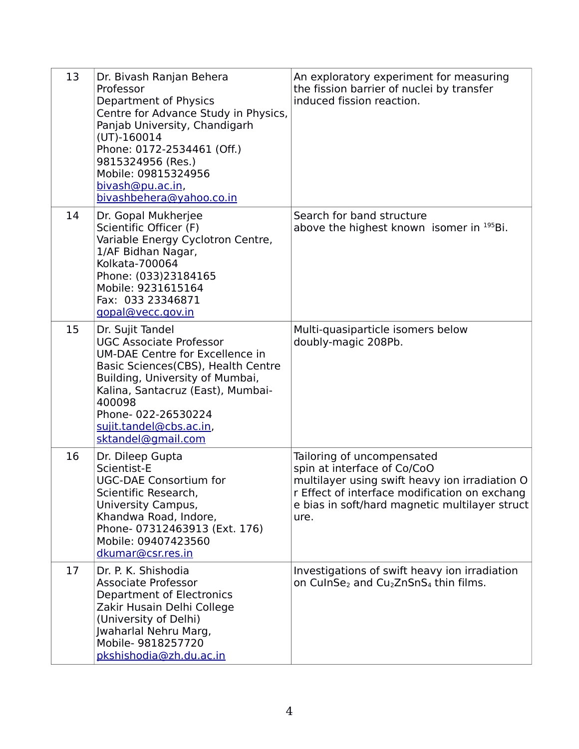| 13 | Dr. Bivash Ranjan Behera<br>Professor<br>Department of Physics<br>Centre for Advance Study in Physics,<br>Panjab University, Chandigarh<br>$(UT)-160014$<br>Phone: 0172-2534461 (Off.)<br>9815324956 (Res.)<br>Mobile: 09815324956<br>bivash@pu.ac.in,<br>bivashbehera@yahoo.co.in   | An exploratory experiment for measuring<br>the fission barrier of nuclei by transfer<br>induced fission reaction.                                                                                                      |
|----|--------------------------------------------------------------------------------------------------------------------------------------------------------------------------------------------------------------------------------------------------------------------------------------|------------------------------------------------------------------------------------------------------------------------------------------------------------------------------------------------------------------------|
| 14 | Dr. Gopal Mukherjee<br>Scientific Officer (F)<br>Variable Energy Cyclotron Centre,<br>1/AF Bidhan Nagar,<br>Kolkata-700064<br>Phone: (033)23184165<br>Mobile: 9231615164<br>Fax: 033 23346871<br>gopal@vecc.gov.in                                                                   | Search for band structure<br>above the highest known isomer in <sup>195</sup> Bi.                                                                                                                                      |
| 15 | Dr. Sujit Tandel<br><b>UGC Associate Professor</b><br>UM-DAE Centre for Excellence in<br>Basic Sciences(CBS), Health Centre<br>Building, University of Mumbai,<br>Kalina, Santacruz (East), Mumbai-<br>400098<br>Phone-022-26530224<br>sujit.tandel@cbs.ac.in,<br>sktandel@gmail.com | Multi-quasiparticle isomers below<br>doubly-magic 208Pb.                                                                                                                                                               |
| 16 | Dr. Dileep Gupta<br>Scientist-E<br><b>UGC-DAE Consortium for</b><br>Scientific Research,<br>University Campus,<br>Khandwa Road, Indore,<br>Phone- 07312463913 (Ext. 176)<br>Mobile: 09407423560<br>dkumar@csr.res.in                                                                 | Tailoring of uncompensated<br>spin at interface of Co/CoO<br>multilayer using swift heavy ion irradiation O<br>r Effect of interface modification on exchang<br>e bias in soft/hard magnetic multilayer struct<br>ure. |
| 17 | Dr. P. K. Shishodia<br><b>Associate Professor</b><br>Department of Electronics<br>Zakir Husain Delhi College<br>(University of Delhi)<br>Jwaharlal Nehru Marg,<br>Mobile- 9818257720<br>pkshishodia@zh.du.ac.in                                                                      | Investigations of swift heavy ion irradiation<br>on CulnSe <sub>2</sub> and Cu <sub>2</sub> ZnSnS <sub>4</sub> thin films.                                                                                             |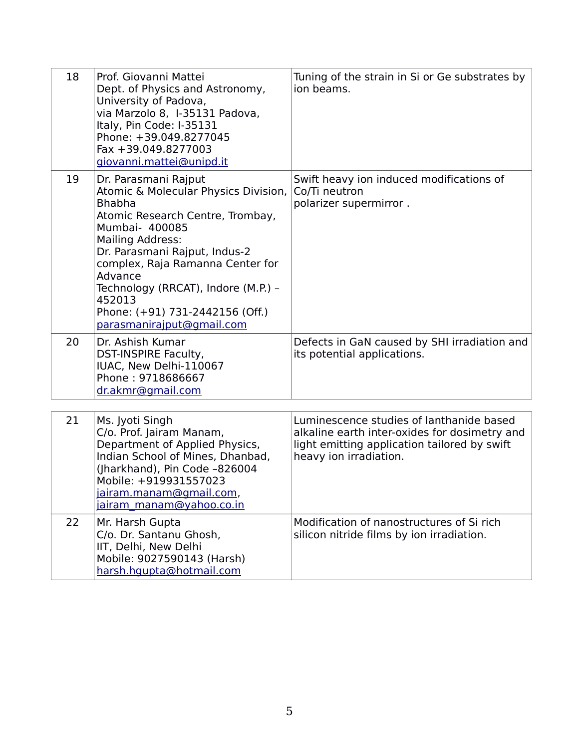| 18 | Prof. Giovanni Mattei<br>Dept. of Physics and Astronomy,<br>University of Padova,<br>via Marzolo 8, I-35131 Padova,<br>Italy, Pin Code: I-35131<br>Phone: +39.049.8277045<br>Fax +39.049.8277003<br>giovanni.mattei@unipd.it                                                                                                                                    | Tuning of the strain in Si or Ge substrates by<br>ion beams.                                                                                                        |
|----|-----------------------------------------------------------------------------------------------------------------------------------------------------------------------------------------------------------------------------------------------------------------------------------------------------------------------------------------------------------------|---------------------------------------------------------------------------------------------------------------------------------------------------------------------|
| 19 | Dr. Parasmani Rajput<br>Atomic & Molecular Physics Division,<br><b>Bhabha</b><br>Atomic Research Centre, Trombay,<br>Mumbai- 400085<br><b>Mailing Address:</b><br>Dr. Parasmani Rajput, Indus-2<br>complex, Raja Ramanna Center for<br>Advance<br>Technology (RRCAT), Indore (M.P.) -<br>452013<br>Phone: (+91) 731-2442156 (Off.)<br>parasmanirajput@gmail.com | Swift heavy ion induced modifications of<br>Co/Ti neutron<br>polarizer supermirror.                                                                                 |
| 20 | Dr. Ashish Kumar<br>DST-INSPIRE Faculty,<br>IUAC, New Delhi-110067<br>Phone: 9718686667<br>dr.akmr@gmail.com                                                                                                                                                                                                                                                    | Defects in GaN caused by SHI irradiation and<br>its potential applications.                                                                                         |
| 21 | Ms. Jyoti Singh<br>C/o. Prof. Jairam Manam,<br>Department of Applied Physics,<br>Indian School of Mines, Dhanbad,<br>(Jharkhand), Pin Code -826004<br>Mobile: +919931557023<br>jairam.manam@gmail.com,<br>jairam manam@yahoo.co.in                                                                                                                              | Luminescence studies of lanthanide based<br>alkaline earth inter-oxides for dosimetry and<br>light emitting application tailored by swift<br>heavy ion irradiation. |
| 22 | Mr. Harsh Gupta<br>C/o. Dr. Santanu Ghosh,<br>IIT, Delhi, New Delhi<br>Mobile: 9027590143 (Harsh)<br>harsh.hqupta@hotmail.com                                                                                                                                                                                                                                   | Modification of nanostructures of Si rich<br>silicon nitride films by ion irradiation.                                                                              |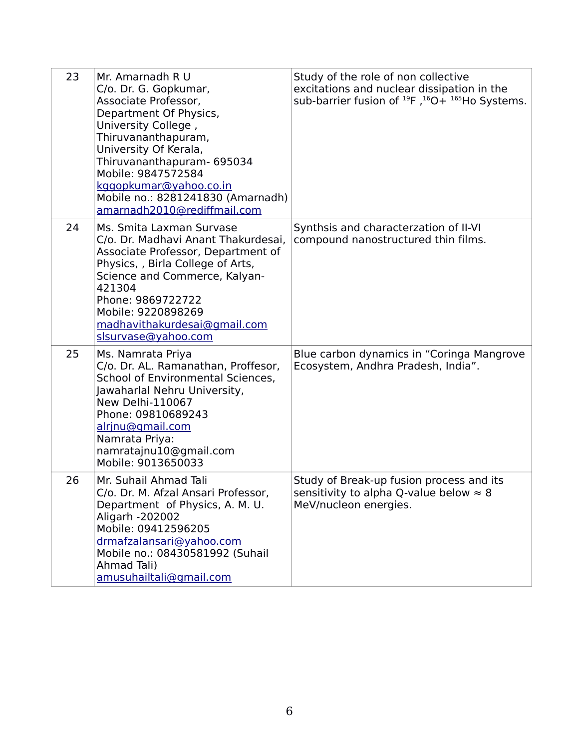| 23 | Mr. Amarnadh R U<br>C/o. Dr. G. Gopkumar,<br>Associate Professor,<br>Department Of Physics,<br>University College,<br>Thiruvananthapuram,<br>University Of Kerala,<br>Thiruvananthapuram- 695034<br>Mobile: 9847572584<br>kggopkumar@yahoo.co.in<br>Mobile no.: 8281241830 (Amarnadh)<br>amarnadh2010@rediffmail.com | Study of the role of non collective<br>excitations and nuclear dissipation in the<br>sub-barrier fusion of $^{19}F$ , $^{16}O + {}^{165}Ho$ Systems. |
|----|----------------------------------------------------------------------------------------------------------------------------------------------------------------------------------------------------------------------------------------------------------------------------------------------------------------------|------------------------------------------------------------------------------------------------------------------------------------------------------|
| 24 | Ms. Smita Laxman Survase<br>C/o. Dr. Madhavi Anant Thakurdesai,<br>Associate Professor, Department of<br>Physics, , Birla College of Arts,<br>Science and Commerce, Kalyan-<br>421304<br>Phone: 9869722722<br>Mobile: 9220898269<br>madhavithakurdesai@gmail.com<br>slsurvase@yahoo.com                              | Synthsis and characterzation of II-VI<br>compound nanostructured thin films.                                                                         |
| 25 | Ms. Namrata Priya<br>C/o. Dr. AL. Ramanathan, Proffesor,<br>School of Environmental Sciences,<br>Jawaharlal Nehru University,<br>New Delhi-110067<br>Phone: 09810689243<br>alrinu@gmail.com<br>Namrata Priya:<br>namratajnu10@gmail.com<br>Mobile: 9013650033                                                        | Blue carbon dynamics in "Coringa Mangrove<br>Ecosystem, Andhra Pradesh, India".                                                                      |
| 26 | Mr. Suhail Ahmad Tali<br>C/o. Dr. M. Afzal Ansari Professor,<br>Department of Physics, A. M. U.<br>Aligarh -202002<br>Mobile: 09412596205<br>drmafzalansari@yahoo.com<br>Mobile no.: 08430581992 (Suhail<br>Ahmad Tali)<br>amusuhailtali@gmail.com                                                                   | Study of Break-up fusion process and its<br>sensitivity to alpha Q-value below $\approx 8$<br>MeV/nucleon energies.                                  |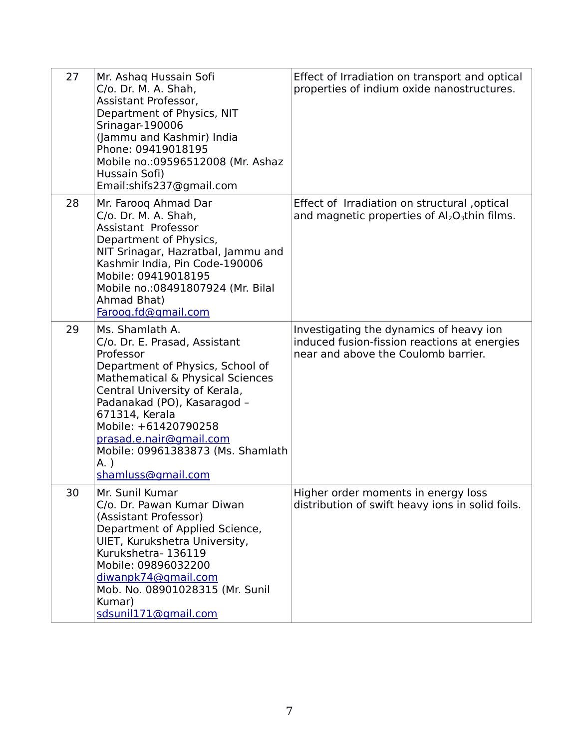| 27 | Mr. Ashaq Hussain Sofi<br>C/o. Dr. M. A. Shah,<br>Assistant Professor,<br>Department of Physics, NIT<br>Srinagar-190006<br>(Jammu and Kashmir) India<br>Phone: 09419018195<br>Mobile no.: 09596512008 (Mr. Ashaz<br>Hussain Sofi)<br>Email:shifs237@gmail.com                                                                                | Effect of Irradiation on transport and optical<br>properties of indium oxide nanostructures.                                   |
|----|----------------------------------------------------------------------------------------------------------------------------------------------------------------------------------------------------------------------------------------------------------------------------------------------------------------------------------------------|--------------------------------------------------------------------------------------------------------------------------------|
| 28 | Mr. Faroog Ahmad Dar<br>C/o. Dr. M. A. Shah,<br>Assistant Professor<br>Department of Physics,<br>NIT Srinagar, Hazratbal, Jammu and<br>Kashmir India, Pin Code-190006<br>Mobile: 09419018195<br>Mobile no.: 08491807924 (Mr. Bilal<br>Ahmad Bhat)<br>Faroog.fd@gmail.com                                                                     | Effect of Irradiation on structural, optical<br>and magnetic properties of $Al_2O_3$ thin films.                               |
| 29 | Ms. Shamlath A.<br>C/o. Dr. E. Prasad, Assistant<br>Professor<br>Department of Physics, School of<br>Mathematical & Physical Sciences<br>Central University of Kerala,<br>Padanakad (PO), Kasaragod -<br>671314, Kerala<br>Mobile: +61420790258<br>prasad.e.nair@gmail.com<br>Mobile: 09961383873 (Ms. Shamlath<br>A.)<br>shamluss@gmail.com | Investigating the dynamics of heavy ion<br>induced fusion-fission reactions at energies<br>near and above the Coulomb barrier. |
| 30 | Mr. Sunil Kumar<br>C/o. Dr. Pawan Kumar Diwan<br>(Assistant Professor)<br>Department of Applied Science,<br>UIET, Kurukshetra University,<br>Kurukshetra-136119<br>Mobile: 09896032200<br>diwanpk74@gmail.com<br>Mob. No. 08901028315 (Mr. Sunil<br>Kumar)<br>sdsunil171@gmail.com                                                           | Higher order moments in energy loss<br>distribution of swift heavy ions in solid foils.                                        |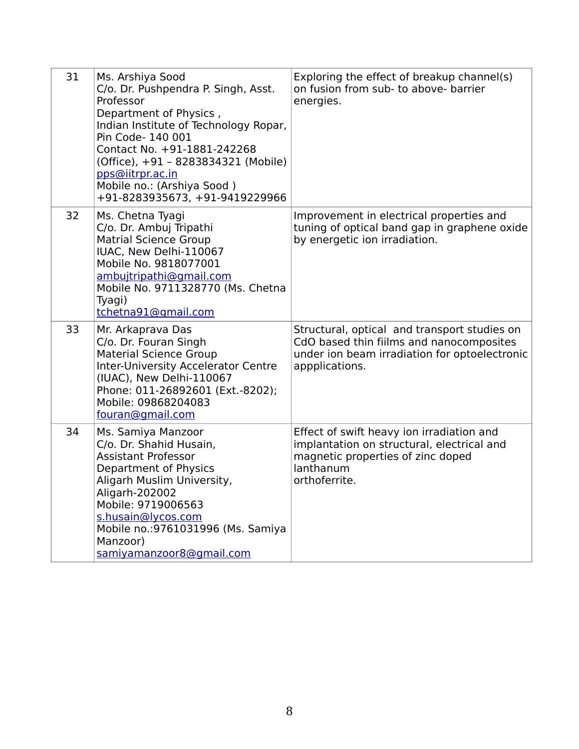| 31 | Ms. Arshiya Sood<br>C/o. Dr. Pushpendra P. Singh, Asst.<br>Professor<br>Department of Physics,<br>Indian Institute of Technology Ropar,<br>Pin Code- 140 001<br>Contact No. +91-1881-242268<br>(Office), +91 - 8283834321 (Mobile)<br>pps@iitrpr.ac.in<br>Mobile no.: (Arshiya Sood)<br>+91-8283935673, +91-9419229966 | Exploring the effect of breakup channel(s)<br>on fusion from sub- to above- barrier<br>energies.                                                            |
|----|------------------------------------------------------------------------------------------------------------------------------------------------------------------------------------------------------------------------------------------------------------------------------------------------------------------------|-------------------------------------------------------------------------------------------------------------------------------------------------------------|
| 32 | Ms. Chetna Tyagi<br>C/o. Dr. Ambuj Tripathi<br><b>Matrial Science Group</b><br>IUAC, New Delhi-110067<br>Mobile No. 9818077001<br>ambujtripathi@gmail.com<br>Mobile No. 9711328770 (Ms. Chetna<br>Tyagi)<br>tchetna91@gmail.com                                                                                        | Improvement in electrical properties and<br>tuning of optical band gap in graphene oxide<br>by energetic ion irradiation.                                   |
| 33 | Mr. Arkaprava Das<br>C/o. Dr. Fouran Singh<br><b>Material Science Group</b><br><b>Inter-University Accelerator Centre</b><br>(IUAC), New Delhi-110067<br>Phone: 011-26892601 (Ext.-8202);<br>Mobile: 09868204083<br>fouran@gmail.com                                                                                   | Structural, optical and transport studies on<br>CdO based thin fiilms and nanocomposites<br>under ion beam irradiation for optoelectronic<br>appplications. |
| 34 | Ms. Samiya Manzoor<br>C/o. Dr. Shahid Husain,<br><b>Assistant Professor</b><br>Department of Physics<br>Aligarh Muslim University,<br>Aligarh-202002<br>Mobile: 9719006563<br>s.husain@lycos.com<br>Mobile no.: 9761031996 (Ms. Samiya<br>Manzoor)<br>samiyamanzoor8@gmail.com                                         | Effect of swift heavy ion irradiation and<br>implantation on structural, electrical and<br>magnetic properties of zinc doped<br>lanthanum<br>orthoferrite.  |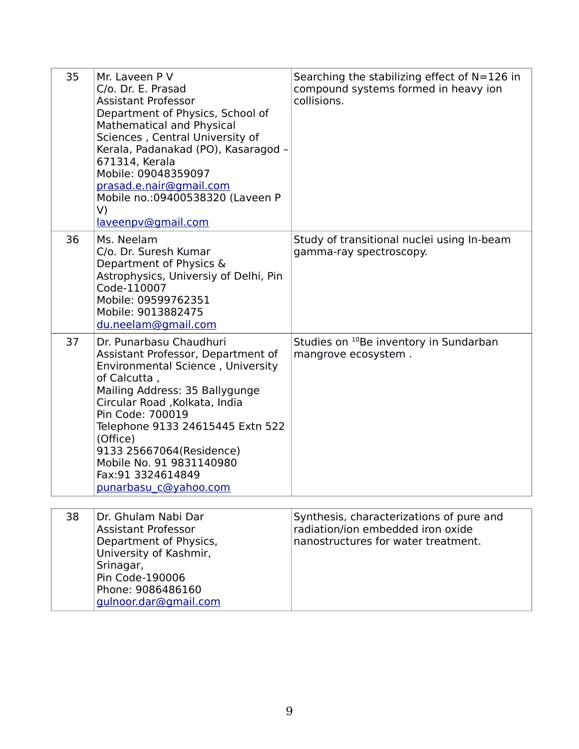| 35 | Mr. Laveen P V<br>C/o. Dr. E. Prasad<br><b>Assistant Professor</b><br>Department of Physics, School of<br><b>Mathematical and Physical</b><br>Sciences, Central University of<br>Kerala, Padanakad (PO), Kasaragod -<br>671314, Kerala<br>Mobile: 09048359097<br>prasad.e.nair@gmail.com<br>Mobile no.:09400538320 (Laveen P<br>V)<br>laveenpv@gmail.com          | Searching the stabilizing effect of $N=126$ in<br>compound systems formed in heavy ion<br>collisions.                |
|----|-------------------------------------------------------------------------------------------------------------------------------------------------------------------------------------------------------------------------------------------------------------------------------------------------------------------------------------------------------------------|----------------------------------------------------------------------------------------------------------------------|
| 36 | Ms. Neelam<br>C/o. Dr. Suresh Kumar<br>Department of Physics &<br>Astrophysics, Universiy of Delhi, Pin<br>Code-110007<br>Mobile: 09599762351<br>Mobile: 9013882475<br>du.neelam@gmail.com                                                                                                                                                                        | Study of transitional nuclei using In-beam<br>gamma-ray spectroscopy.                                                |
| 37 | Dr. Punarbasu Chaudhuri<br>Assistant Professor, Department of<br>Environmental Science, University<br>of Calcutta,<br>Mailing Address: 35 Ballygunge<br>Circular Road , Kolkata, India<br>Pin Code: 700019<br>Telephone 9133 24615445 Extn 522<br>(Office)<br>9133 25667064(Residence)<br>Mobile No. 91 9831140980<br>Fax: 91 3324614849<br>punarbasu c@yahoo.com | Studies on <sup>10</sup> Be inventory in Sundarban<br>mangrove ecosystem.                                            |
| 38 | Dr. Ghulam Nabi Dar<br><b>Assistant Professor</b><br>Department of Physics,<br>University of Kashmir,<br>Srinagar,<br>Pin Code-190006<br>Phone: 9086486160                                                                                                                                                                                                        | Synthesis, characterizations of pure and<br>radiation/ion embedded iron oxide<br>nanostructures for water treatment. |

[gulnoor.dar@gmail.com](mailto:gulnoor.dar@gmail.com)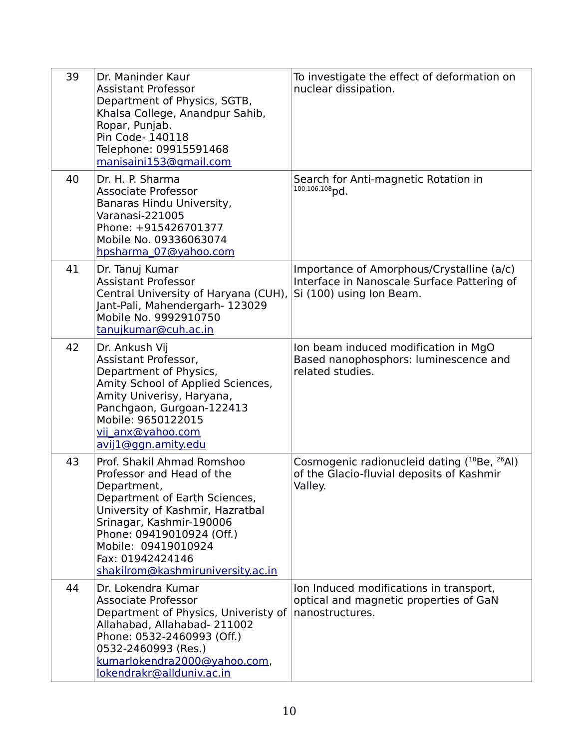| 39 | Dr. Maninder Kaur<br><b>Assistant Professor</b><br>Department of Physics, SGTB,<br>Khalsa College, Anandpur Sahib,<br>Ropar, Punjab.<br>Pin Code- 140118<br>Telephone: 09915591468<br>manisaini153@gmail.com                                                                         | To investigate the effect of deformation on<br>nuclear dissipation.                                                          |
|----|--------------------------------------------------------------------------------------------------------------------------------------------------------------------------------------------------------------------------------------------------------------------------------------|------------------------------------------------------------------------------------------------------------------------------|
| 40 | Dr. H. P. Sharma<br><b>Associate Professor</b><br>Banaras Hindu University,<br>Varanasi-221005<br>Phone: +915426701377<br>Mobile No. 09336063074<br>hpsharma_07@yahoo.com                                                                                                            | Search for Anti-magnetic Rotation in<br>$100, 106, 108$ pd.                                                                  |
| 41 | Dr. Tanuj Kumar<br><b>Assistant Professor</b><br>Central University of Haryana (CUH),<br>Jant-Pali, Mahendergarh- 123029<br>Mobile No. 9992910750<br>tanujkumar@cuh.ac.in                                                                                                            | Importance of Amorphous/Crystalline (a/c)<br>Interface in Nanoscale Surface Pattering of<br>Si (100) using Ion Beam.         |
| 42 | Dr. Ankush Vij<br>Assistant Professor,<br>Department of Physics,<br>Amity School of Applied Sciences,<br>Amity Univerisy, Haryana,<br>Panchgaon, Gurgoan-122413<br>Mobile: 9650122015<br>vij anx@yahoo.com<br>avij1@ggn.amity.edu                                                    | Ion beam induced modification in MgO<br>Based nanophosphors: luminescence and<br>related studies.                            |
| 43 | Prof. Shakil Ahmad Romshoo<br>Professor and Head of the<br>Department,<br>Department of Earth Sciences,<br>University of Kashmir, Hazratbal<br>Srinagar, Kashmir-190006<br>Phone: 09419010924 (Off.)<br>Mobile: 09419010924<br>Fax: 01942424146<br>shakilrom@kashmiruniversity.ac.in | Cosmogenic radionucleid dating ( <sup>10</sup> Be, <sup>26</sup> Al)<br>of the Glacio-fluvial deposits of Kashmir<br>Valley. |
| 44 | Dr. Lokendra Kumar<br><b>Associate Professor</b><br>Department of Physics, Univeristy of<br>Allahabad, Allahabad- 211002<br>Phone: 0532-2460993 (Off.)<br>0532-2460993 (Res.)<br>kumarlokendra2000@yahoo.com,<br>lokendrakr@allduniv.ac.in                                           | Ion Induced modifications in transport,<br>optical and magnetic properties of GaN<br>nanostructures.                         |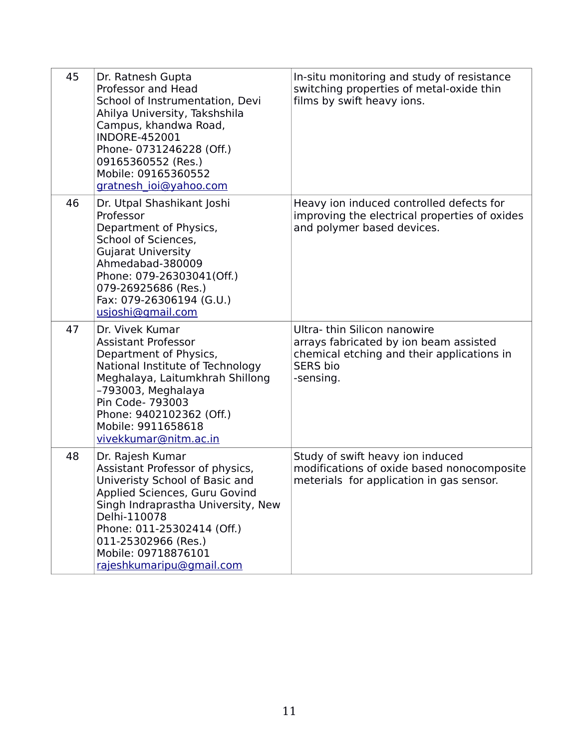| 45 | Dr. Ratnesh Gupta<br>Professor and Head<br>School of Instrumentation, Devi<br>Ahilya University, Takshshila<br>Campus, khandwa Road,<br><b>INDORE-452001</b><br>Phone- 0731246228 (Off.)<br>09165360552 (Res.)<br>Mobile: 09165360552<br>gratnesh ioi@yahoo.com                      | In-situ monitoring and study of resistance<br>switching properties of metal-oxide thin<br>films by swift heavy ions.                                |
|----|--------------------------------------------------------------------------------------------------------------------------------------------------------------------------------------------------------------------------------------------------------------------------------------|-----------------------------------------------------------------------------------------------------------------------------------------------------|
| 46 | Dr. Utpal Shashikant Joshi<br>Professor<br>Department of Physics,<br>School of Sciences,<br><b>Gujarat University</b><br>Ahmedabad-380009<br>Phone: 079-26303041(Off.)<br>079-26925686 (Res.)<br>Fax: 079-26306194 (G.U.)<br>usjoshi@gmail.com                                       | Heavy ion induced controlled defects for<br>improving the electrical properties of oxides<br>and polymer based devices.                             |
| 47 | Dr. Vivek Kumar<br><b>Assistant Professor</b><br>Department of Physics,<br>National Institute of Technology<br>Meghalaya, Laitumkhrah Shillong<br>-793003, Meghalaya<br>Pin Code- 793003<br>Phone: 9402102362 (Off.)<br>Mobile: 9911658618<br>vivekkumar@nitm.ac.in                  | Ultra-thin Silicon nanowire<br>arrays fabricated by ion beam assisted<br>chemical etching and their applications in<br><b>SERS bio</b><br>-sensing. |
| 48 | Dr. Rajesh Kumar<br>Assistant Professor of physics,<br>Univeristy School of Basic and<br>Applied Sciences, Guru Govind<br>Singh Indraprastha University, New<br>Delhi-110078<br>Phone: 011-25302414 (Off.)<br>011-25302966 (Res.)<br>Mobile: 09718876101<br>rajeshkumaripu@gmail.com | Study of swift heavy ion induced<br>modifications of oxide based nonocomposite<br>meterials for application in gas sensor.                          |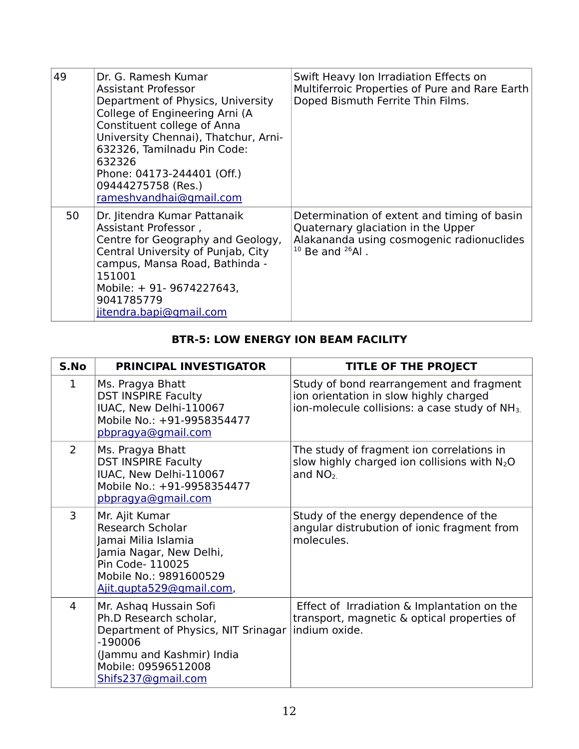| 49 | Dr. G. Ramesh Kumar<br>Assistant Professor<br>Department of Physics, University<br>College of Engineering Arni (A<br>Constituent college of Anna<br>University Chennai), Thatchur, Arni-<br>632326, Tamilnadu Pin Code:<br>632326<br>Phone: 04173-244401 (Off.)<br>09444275758 (Res.)<br>rameshvandhai@gmail.com | Swift Heavy Ion Irradiation Effects on<br>Multiferroic Properties of Pure and Rare Earth<br>Doped Bismuth Ferrite Thin Films.                          |
|----|------------------------------------------------------------------------------------------------------------------------------------------------------------------------------------------------------------------------------------------------------------------------------------------------------------------|--------------------------------------------------------------------------------------------------------------------------------------------------------|
| 50 | Dr. Jitendra Kumar Pattanaik<br>Assistant Professor,<br>Centre for Geography and Geology,<br>Central University of Punjab, City<br>campus, Mansa Road, Bathinda -<br>151001<br>Mobile: + 91- 9674227643,<br>9041785779<br>jitendra.bapi@gmail.com                                                                | Determination of extent and timing of basin<br>Quaternary glaciation in the Upper<br>Alakananda using cosmogenic radionuclides<br>$10$ Be and $26$ Al. |

## **BTR-5: LOW ENERGY ION BEAM FACILITY**

| S.No           | PRINCIPAL INVESTIGATOR                                                                                                                                                         | <b>TITLE OF THE PROJECT</b>                                                                                                                     |
|----------------|--------------------------------------------------------------------------------------------------------------------------------------------------------------------------------|-------------------------------------------------------------------------------------------------------------------------------------------------|
| $\mathbf 1$    | Ms. Pragya Bhatt<br><b>DST INSPIRE Faculty</b><br>IUAC, New Delhi-110067<br>Mobile No.: +91-9958354477<br>pbpragya@gmail.com                                                   | Study of bond rearrangement and fragment<br>ion orientation in slow highly charged<br>ion-molecule collisions: a case study of NH <sub>3.</sub> |
| $\overline{2}$ | Ms. Pragya Bhatt<br><b>DST INSPIRE Faculty</b><br>IUAC, New Delhi-110067<br>Mobile No.: +91-9958354477<br>pbpragya@gmail.com                                                   | The study of fragment ion correlations in<br>slow highly charged ion collisions with N <sub>2</sub> O<br>and $NO2$ .                            |
| 3              | Mr. Ajit Kumar<br>Research Scholar<br>Jamai Milia Islamia<br>Jamia Nagar, New Delhi,<br>Pin Code- 110025<br>Mobile No.: 9891600529<br>Ajit.gupta529@gmail.com,                 | Study of the energy dependence of the<br>angular distrubution of ionic fragment from<br>molecules.                                              |
| 4              | Mr. Ashaq Hussain Sofi<br>Ph.D Research scholar,<br>Department of Physics, NIT Srinagar<br>$-190006$<br>(Jammu and Kashmir) India<br>Mobile: 09596512008<br>Shifs237@gmail.com | Effect of Irradiation & Implantation on the<br>transport, magnetic & optical properties of<br>indium oxide.                                     |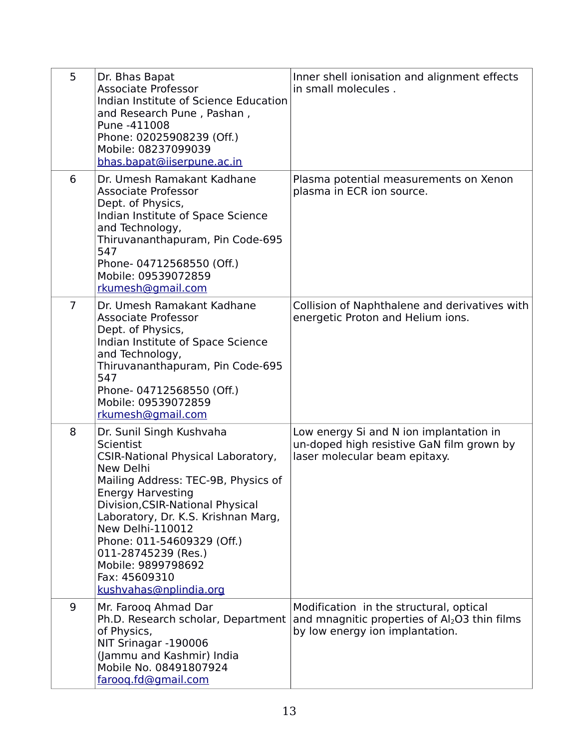| 5              | Dr. Bhas Bapat<br><b>Associate Professor</b><br>Indian Institute of Science Education<br>and Research Pune, Pashan,<br>Pune -411008<br>Phone: 02025908239 (Off.)<br>Mobile: 08237099039<br>bhas.bapat@iiserpune.ac.in                                                                                                                                                                   | Inner shell ionisation and alignment effects<br>in small molecules.                                                          |
|----------------|-----------------------------------------------------------------------------------------------------------------------------------------------------------------------------------------------------------------------------------------------------------------------------------------------------------------------------------------------------------------------------------------|------------------------------------------------------------------------------------------------------------------------------|
| 6              | Dr. Umesh Ramakant Kadhane<br><b>Associate Professor</b><br>Dept. of Physics,<br>Indian Institute of Space Science<br>and Technology,<br>Thiruvananthapuram, Pin Code-695<br>547<br>Phone-04712568550 (Off.)<br>Mobile: 09539072859<br>rkumesh@gmail.com                                                                                                                                | Plasma potential measurements on Xenon<br>plasma in ECR ion source.                                                          |
| $\overline{7}$ | Dr. Umesh Ramakant Kadhane<br><b>Associate Professor</b><br>Dept. of Physics,<br>Indian Institute of Space Science<br>and Technology,<br>Thiruvananthapuram, Pin Code-695<br>547<br>Phone-04712568550 (Off.)<br>Mobile: 09539072859<br>rkumesh@gmail.com                                                                                                                                | Collision of Naphthalene and derivatives with<br>energetic Proton and Helium ions.                                           |
| 8              | Dr. Sunil Singh Kushvaha<br>Scientist<br><b>CSIR-National Physical Laboratory,</b><br>New Delhi<br>Mailing Address: TEC-9B, Physics of<br><b>Energy Harvesting</b><br>Division, CSIR-National Physical<br>Laboratory, Dr. K.S. Krishnan Marg,<br>New Delhi-110012<br>Phone: 011-54609329 (Off.)<br>011-28745239 (Res.)<br>Mobile: 9899798692<br>Fax: 45609310<br>kushvahas@nplindia.org | Low energy Si and N ion implantation in<br>un-doped high resistive GaN film grown by<br>laser molecular beam epitaxy.        |
| 9              | Mr. Faroog Ahmad Dar<br>Ph.D. Research scholar, Department<br>of Physics,<br>NIT Srinagar -190006<br>(Jammu and Kashmir) India<br>Mobile No. 08491807924<br>faroog.fd@gmail.com                                                                                                                                                                                                         | Modification in the structural, optical<br>and mnagnitic properties of $Al2O3$ thin films<br>by low energy ion implantation. |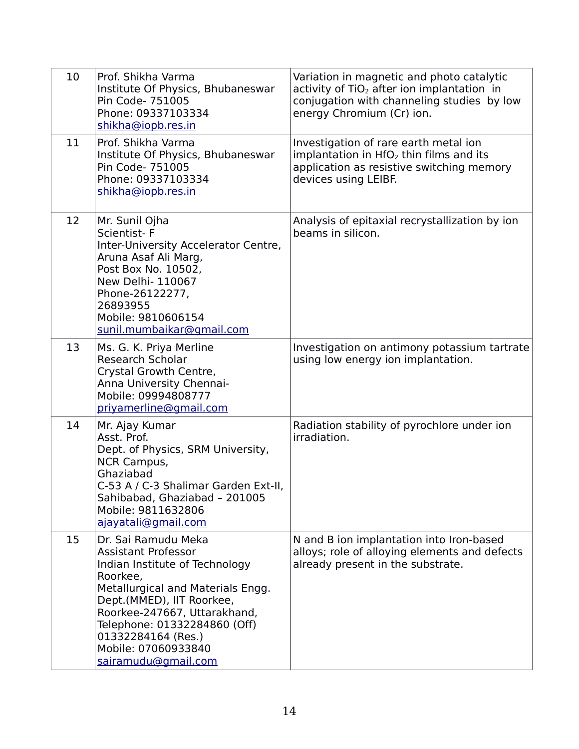| 10 | Prof. Shikha Varma<br>Institute Of Physics, Bhubaneswar<br>Pin Code- 751005<br>Phone: 09337103334<br>shikha@iopb.res.in                                                                                                                                                                               | Variation in magnetic and photo catalytic<br>activity of $TiO2$ after ion implantation in<br>conjugation with channeling studies by low<br>energy Chromium (Cr) ion. |
|----|-------------------------------------------------------------------------------------------------------------------------------------------------------------------------------------------------------------------------------------------------------------------------------------------------------|----------------------------------------------------------------------------------------------------------------------------------------------------------------------|
| 11 | Prof. Shikha Varma<br>Institute Of Physics, Bhubaneswar<br>Pin Code- 751005<br>Phone: 09337103334<br>shikha@iopb.res.in                                                                                                                                                                               | Investigation of rare earth metal ion<br>implantation in HfO <sub>2</sub> thin films and its<br>application as resistive switching memory<br>devices using LEIBF.    |
| 12 | Mr. Sunil Ojha<br>Scientist-F<br>Inter-University Accelerator Centre,<br>Aruna Asaf Ali Marg,<br>Post Box No. 10502,<br>New Delhi- 110067<br>Phone-26122277,<br>26893955<br>Mobile: 9810606154<br>sunil.mumbaikar@gmail.com                                                                           | Analysis of epitaxial recrystallization by ion<br>beams in silicon.                                                                                                  |
| 13 | Ms. G. K. Priya Merline<br><b>Research Scholar</b><br>Crystal Growth Centre,<br>Anna University Chennai-<br>Mobile: 09994808777<br>priyamerline@gmail.com                                                                                                                                             | Investigation on antimony potassium tartrate<br>using low energy ion implantation.                                                                                   |
| 14 | Mr. Ajay Kumar<br>Asst. Prof.<br>Dept. of Physics, SRM University,<br><b>NCR Campus,</b><br>Ghaziabad<br>C-53 A / C-3 Shalimar Garden Ext-II,<br>Sahibabad, Ghaziabad - 201005<br>Mobile: 9811632806<br>ajayatali@gmail.com                                                                           | Radiation stability of pyrochlore under ion<br>irradiation.                                                                                                          |
| 15 | Dr. Sai Ramudu Meka<br><b>Assistant Professor</b><br>Indian Institute of Technology<br>Roorkee,<br>Metallurgical and Materials Engg.<br>Dept.(MMED), IIT Roorkee,<br>Roorkee-247667, Uttarakhand,<br>Telephone: 01332284860 (Off)<br>01332284164 (Res.)<br>Mobile: 07060933840<br>sairamudu@gmail.com | N and B ion implantation into Iron-based<br>alloys; role of alloying elements and defects<br>already present in the substrate.                                       |